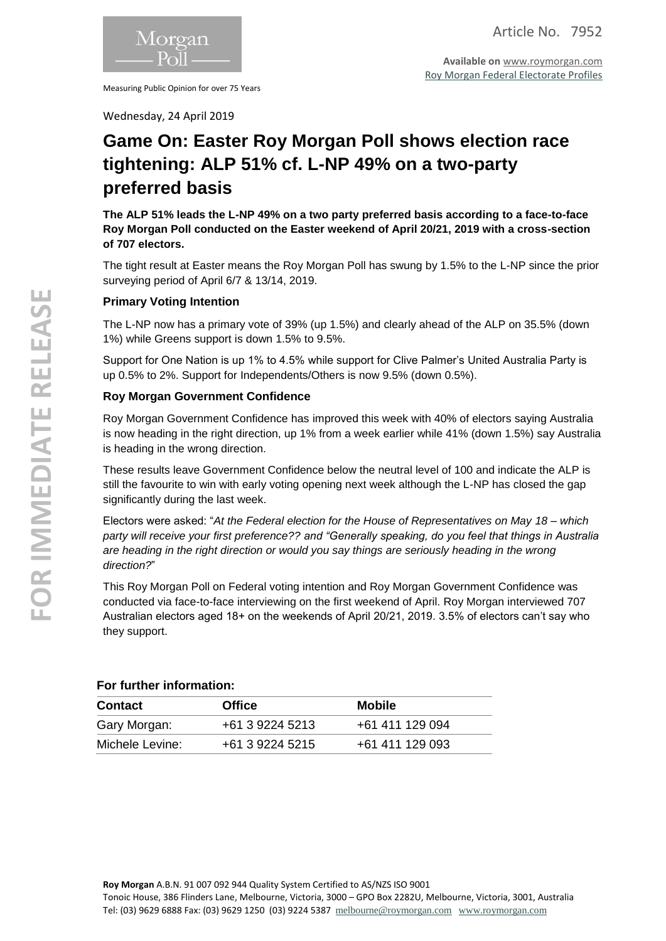

Measuring Public Opinion for over 75 Years

**Available on** [www.roymorgan.com](http://www.roymorgan.com/) [Roy Morgan Federal Electorate Profiles](http://www.roymorganonlinestore.com/Browse/Australia/Economic,-Political-and-Social/Federal-Electorates.aspx)

Wednesday, 24 April 2019

# **Game On: Easter Roy Morgan Poll shows election race tightening: ALP 51% cf. L-NP 49% on a two-party preferred basis**

**The ALP 51% leads the L-NP 49% on a two party preferred basis according to a face-to-face Roy Morgan Poll conducted on the Easter weekend of April 20/21, 2019 with a cross-section of 707 electors.**

The tight result at Easter means the Roy Morgan Poll has swung by 1.5% to the L-NP since the prior surveying period of April 6/7 & 13/14, 2019.

### **Primary Voting Intention**

The L-NP now has a primary vote of 39% (up 1.5%) and clearly ahead of the ALP on 35.5% (down 1%) while Greens support is down 1.5% to 9.5%.

Support for One Nation is up 1% to 4.5% while support for Clive Palmer's United Australia Party is up 0.5% to 2%. Support for Independents/Others is now 9.5% (down 0.5%).

### **Roy Morgan Government Confidence**

Roy Morgan Government Confidence has improved this week with 40% of electors saying Australia is now heading in the right direction, up 1% from a week earlier while 41% (down 1.5%) say Australia is heading in the wrong direction.

These results leave Government Confidence below the neutral level of 100 and indicate the ALP is still the favourite to win with early voting opening next week although the L-NP has closed the gap significantly during the last week.

Electors were asked: "*At the Federal election for the House of Representatives on May 18 – which party will receive your first preference?? and "Generally speaking, do you feel that things in Australia are heading in the right direction or would you say things are seriously heading in the wrong direction?*"

This Roy Morgan Poll on Federal voting intention and Roy Morgan Government Confidence was conducted via face-to-face interviewing on the first weekend of April. Roy Morgan interviewed 707 Australian electors aged 18+ on the weekends of April 20/21, 2019. 3.5% of electors can't say who they support.

| <b>Contact</b>  | <b>Office</b>   | <b>Mobile</b>   |  |
|-----------------|-----------------|-----------------|--|
| Gary Morgan:    | +61 3 9224 5213 | +61 411 129 094 |  |
| Michele Levine: | +61 3 9224 5215 | +61 411 129 093 |  |

### **For further information:**